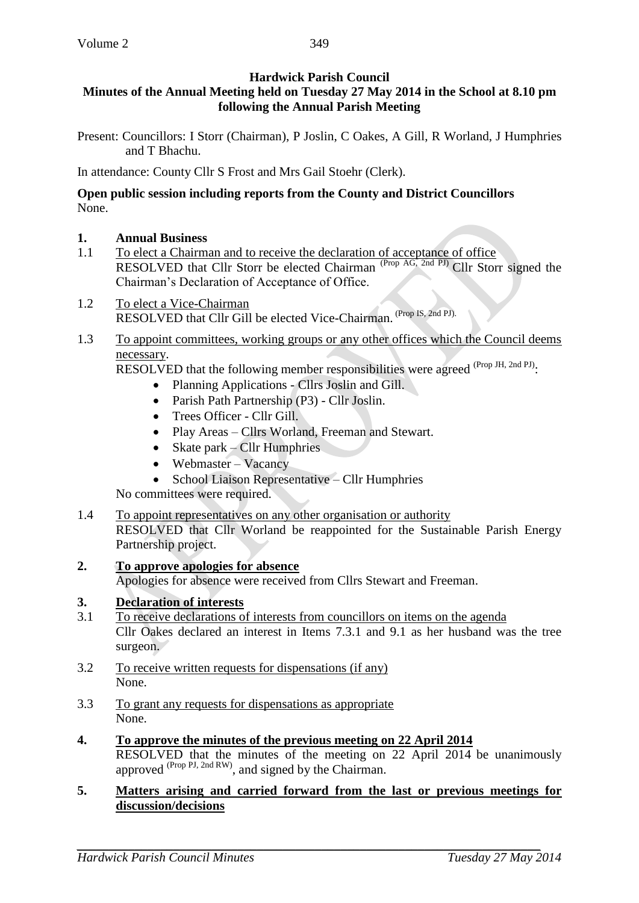# **Hardwick Parish Council**

## **Minutes of the Annual Meeting held on Tuesday 27 May 2014 in the School at 8.10 pm following the Annual Parish Meeting**

Present: Councillors: I Storr (Chairman), P Joslin, C Oakes, A Gill, R Worland, J Humphries and T Bhachu.

In attendance: County Cllr S Frost and Mrs Gail Stoehr (Clerk).

#### **Open public session including reports from the County and District Councillors** None.

### **1. Annual Business**

- 1.1 To elect a Chairman and to receive the declaration of acceptance of office RESOLVED that Cllr Storr be elected Chairman <sup>(Prop AG, 2nd PJ)</sup> Cllr Storr signed the Chairman's Declaration of Acceptance of Office.
- 1.2 To elect a Vice-Chairman RESOLVED that Cllr Gill be elected Vice-Chairman. (Prop IS, 2nd PJ).
- 1.3 To appoint committees, working groups or any other offices which the Council deems necessary.

RESOLVED that the following member responsibilities were agreed (Prop JH, 2nd PJ).

- Planning Applications Cllrs Joslin and Gill.
- Parish Path Partnership (P3) Cllr Joslin.
- Trees Officer Cllr Gill.
- Play Areas Cllrs Worland, Freeman and Stewart.
- Skate park Cllr Humphries
- Webmaster Vacancy
- School Liaison Representative Cllr Humphries

No committees were required.

- 1.4 To appoint representatives on any other organisation or authority RESOLVED that Cllr Worland be reappointed for the Sustainable Parish Energy Partnership project.
- **2. To approve apologies for absence**

Apologies for absence were received from Cllrs Stewart and Freeman.

### **3. Declaration of interests**

- 3.1 To receive declarations of interests from councillors on items on the agenda Cllr Oakes declared an interest in Items 7.3.1 and 9.1 as her husband was the tree surgeon.
- 3.2 To receive written requests for dispensations (if any) None.
- 3.3 To grant any requests for dispensations as appropriate None.
- **4. To approve the minutes of the previous meeting on 22 April 2014**  RESOLVED that the minutes of the meeting on 22 April 2014 be unanimously approved  $^{(Prop\,PI,\,2nd\,RW)}$ , and signed by the Chairman.

#### **5. Matters arising and carried forward from the last or previous meetings for discussion/decisions**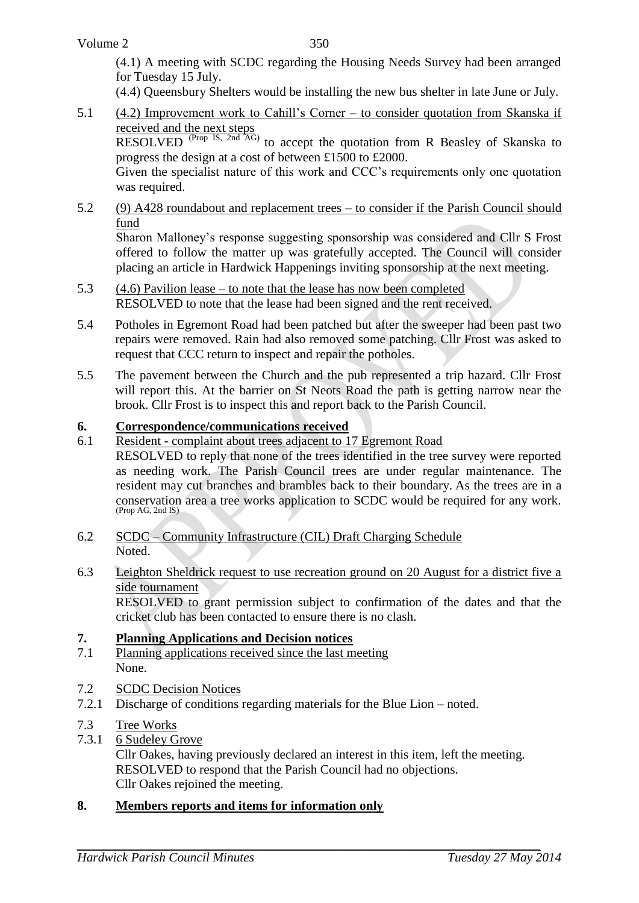(4.1) A meeting with SCDC regarding the Housing Needs Survey had been arranged for Tuesday 15 July.

(4.4) Queensbury Shelters would be installing the new bus shelter in late June or July.

5.1 (4.2) Improvement work to Cahill's Corner – to consider quotation from Skanska if received and the next steps

RESOLVED <sup>(Prop IS, 2nd  $\overline{AG}$ ) to accept the quotation from R Beasley of Skanska to</sup> progress the design at a cost of between £1500 to £2000.

Given the specialist nature of this work and CCC's requirements only one quotation was required.

5.2 (9) A428 roundabout and replacement trees – to consider if the Parish Council should fund

Sharon Malloney's response suggesting sponsorship was considered and Cllr S Frost offered to follow the matter up was gratefully accepted. The Council will consider placing an article in Hardwick Happenings inviting sponsorship at the next meeting.

- 5.3 (4.6) Pavilion lease to note that the lease has now been completed RESOLVED to note that the lease had been signed and the rent received.
- 5.4 Potholes in Egremont Road had been patched but after the sweeper had been past two repairs were removed. Rain had also removed some patching. Cllr Frost was asked to request that CCC return to inspect and repair the potholes.
- 5.5 The pavement between the Church and the pub represented a trip hazard. Cllr Frost will report this. At the barrier on St Neots Road the path is getting narrow near the brook. Cllr Frost is to inspect this and report back to the Parish Council.

### **6. Correspondence/communications received**

6.1 Resident - complaint about trees adjacent to 17 Egremont Road

RESOLVED to reply that none of the trees identified in the tree survey were reported as needing work. The Parish Council trees are under regular maintenance. The resident may cut branches and brambles back to their boundary. As the trees are in a conservation area a tree works application to SCDC would be required for any work. (Prop AG, 2nd IS)

- 6.2 SCDC Community Infrastructure (CIL) Draft Charging Schedule Noted.
- 6.3 Leighton Sheldrick request to use recreation ground on 20 August for a district five a side tournament

RESOLVED to grant permission subject to confirmation of the dates and that the cricket club has been contacted to ensure there is no clash.

#### **7. Planning Applications and Decision notices**

- 7.1 Planning applications received since the last meeting None.
- 7.2 SCDC Decision Notices
- 7.2.1 Discharge of conditions regarding materials for the Blue Lion noted.
- 7.3 Tree Works
- 7.3.1 6 Sudeley Grove

Cllr Oakes, having previously declared an interest in this item, left the meeting. RESOLVED to respond that the Parish Council had no objections. Cllr Oakes rejoined the meeting.

### **8. Members reports and items for information only**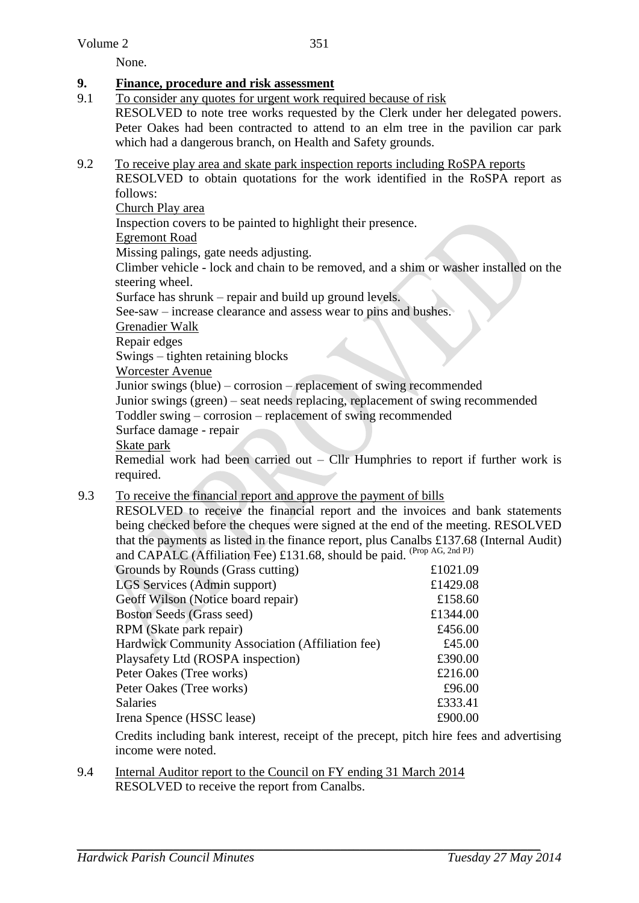None.

### **9. Finance, procedure and risk assessment**

- 9.1 To consider any quotes for urgent work required because of risk RESOLVED to note tree works requested by the Clerk under her delegated powers. Peter Oakes had been contracted to attend to an elm tree in the pavilion car park which had a dangerous branch, on Health and Safety grounds.
- 9.2 To receive play area and skate park inspection reports including RoSPA reports RESOLVED to obtain quotations for the work identified in the RoSPA report as

follows:

Church Play area

Inspection covers to be painted to highlight their presence.

Egremont Road

Missing palings, gate needs adjusting.

Climber vehicle - lock and chain to be removed, and a shim or washer installed on the steering wheel.

Surface has shrunk – repair and build up ground levels.

See-saw – increase clearance and assess wear to pins and bushes.

Grenadier Walk

Repair edges

Swings – tighten retaining blocks

Worcester Avenue

Junior swings (blue) – corrosion – replacement of swing recommended

Junior swings (green) – seat needs replacing, replacement of swing recommended

Toddler swing – corrosion – replacement of swing recommended

Surface damage - repair

Skate park

Remedial work had been carried out – Cllr Humphries to report if further work is required.

### 9.3 To receive the financial report and approve the payment of bills

RESOLVED to receive the financial report and the invoices and bank statements being checked before the cheques were signed at the end of the meeting. RESOLVED that the payments as listed in the finance report, plus Canalbs £137.68 (Internal Audit) and CAPALC (Affiliation Fee) £131.68, should be paid. (Prop AG, 2nd PJ)

| Grounds by Rounds (Grass cutting)                | £1021.09 |
|--------------------------------------------------|----------|
| <b>LGS Services (Admin support)</b>              | £1429.08 |
| Geoff Wilson (Notice board repair)               | £158.60  |
| <b>Boston Seeds (Grass seed)</b>                 | £1344.00 |
| RPM (Skate park repair)                          | £456.00  |
| Hardwick Community Association (Affiliation fee) | £45.00   |
| Playsafety Ltd (ROSPA inspection)                | £390.00  |
| Peter Oakes (Tree works)                         | £216.00  |
| Peter Oakes (Tree works)                         | £96.00   |
| Salaries                                         | £333.41  |
| Irena Spence (HSSC lease)                        | £900.00  |
|                                                  |          |

Credits including bank interest, receipt of the precept, pitch hire fees and advertising income were noted.

9.4 Internal Auditor report to the Council on FY ending 31 March 2014 RESOLVED to receive the report from Canalbs.